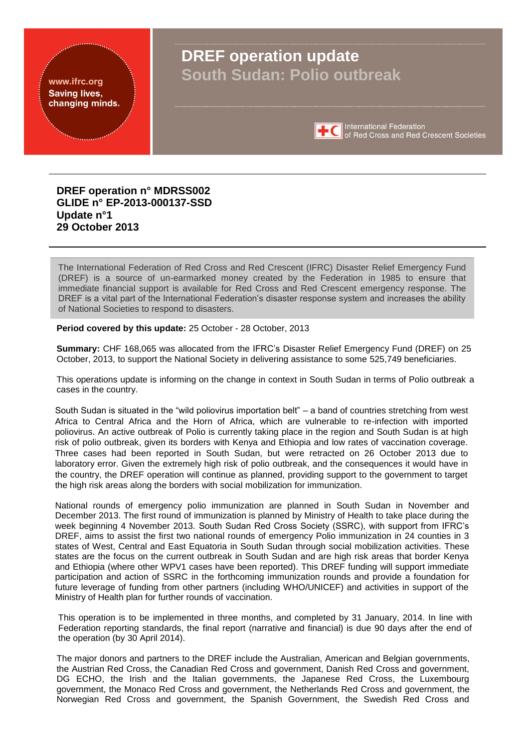#### www.ifrc.org **Saving lives,** changing minds.

# **DREF operation update South Sudan: Polio outbreak**



International Federation<br>of Red Cross and Red Crescent Societies

## **DREF operation n° MDRSS002 GLIDE n° EP-2013-000137-SSD Update n°1 29 October 2013**

The International Federation of Red Cross and Red Crescent (IFRC) Disaster Relief Emergency Fund (DREF) is a source of un-earmarked money created by the Federation in 1985 to ensure that immediate financial support is available for Red Cross and Red Crescent emergency response. The DREF is a vital part of the International Federation's disaster response system and increases the ability of National Societies to respond to disasters.

**Period covered by this update:** 25 October - 28 October, 2013

**Summary:** CHF 168,065 was allocated from the IFRC's Disaster Relief Emergency Fund (DREF) on 25 October, 2013, to support the National Society in delivering assistance to some 525,749 beneficiaries.

This operations update is informing on the change in context in South Sudan in terms of Polio outbreak a cases in the country.

South Sudan is situated in the "wild poliovirus importation belt" – a band of countries stretching from west Africa to Central Africa and the Horn of Africa, which are vulnerable to re-infection with imported poliovirus. An active outbreak of Polio is currently taking place in the region and South Sudan is at high risk of polio outbreak, given its borders with Kenya and Ethiopia and low rates of vaccination coverage. Three cases had been reported in South Sudan, but were retracted on 26 October 2013 due to laboratory error. Given the extremely high risk of polio outbreak, and the consequences it would have in the country, the DREF operation will continue as planned, providing support to the government to target the high risk areas along the borders with social mobilization for immunization.

National rounds of emergency polio immunization are planned in South Sudan in November and December 2013. The first round of immunization is planned by Ministry of Health to take place during the week beginning 4 November 2013. South Sudan Red Cross Society (SSRC), with support from IFRC's DREF, aims to assist the first two national rounds of emergency Polio immunization in 24 counties in 3 states of West, Central and East Equatoria in South Sudan through social mobilization activities. These states are the focus on the current outbreak in South Sudan and are high risk areas that border Kenya and Ethiopia (where other WPV1 cases have been reported). This DREF funding will support immediate participation and action of SSRC in the forthcoming immunization rounds and provide a foundation for future leverage of funding from other partners (including WHO/UNICEF) and activities in support of the Ministry of Health plan for further rounds of vaccination.

This operation is to be implemented in three months, and completed by 31 January, 2014. In line with Federation reporting standards, the final report (narrative and financial) is due 90 days after the end of the operation (by 30 April 2014).

The major donors and partners to the DREF include the Australian, American and Belgian governments, the Austrian Red Cross, the Canadian Red Cross and government, Danish Red Cross and government, DG ECHO, the Irish and the Italian governments, the Japanese Red Cross, the Luxembourg government, the Monaco Red Cross and government, the Netherlands Red Cross and government, the Norwegian Red Cross and government, the Spanish Government, the Swedish Red Cross and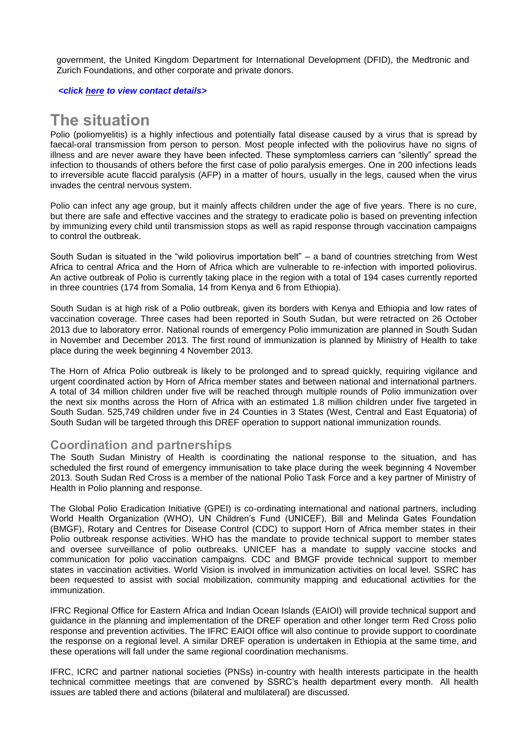government, the United Kingdom Department for International Development (DFID), the Medtronic and Zurich Foundations, and other corporate and private donors.

*<click [here](#page-4-0) to view contact details>*

## **The situation**

Polio (poliomyelitis) is a highly infectious and potentially fatal disease caused by a virus that is spread by faecal-oral transmission from person to person. Most people infected with the poliovirus have no signs of illness and are never aware they have been infected. These symptomless carriers can "silently" spread the infection to thousands of others before the first case of polio paralysis emerges. One in 200 infections leads to irreversible acute flaccid paralysis (AFP) in a matter of hours, usually in the legs, caused when the virus invades the central nervous system.

Polio can infect any age group, but it mainly affects children under the age of five years. There is no cure, but there are safe and effective vaccines and the strategy to eradicate polio is based on preventing infection by immunizing every child until transmission stops as well as rapid response through vaccination campaigns to control the outbreak.

South Sudan is situated in the "wild poliovirus importation belt" – a band of countries stretching from West Africa to central Africa and the Horn of Africa which are vulnerable to re-infection with imported poliovirus. An active outbreak of Polio is currently taking place in the region with a total of 194 cases currently reported in three countries (174 from Somalia, 14 from Kenya and 6 from Ethiopia).

South Sudan is at high risk of a Polio outbreak, given its borders with Kenya and Ethiopia and low rates of vaccination coverage. Three cases had been reported in South Sudan, but were retracted on 26 October 2013 due to laboratory error. National rounds of emergency Polio immunization are planned in South Sudan in November and December 2013. The first round of immunization is planned by Ministry of Health to take place during the week beginning 4 November 2013.

The Horn of Africa Polio outbreak is likely to be prolonged and to spread quickly, requiring vigilance and urgent coordinated action by Horn of Africa member states and between national and international partners. A total of 34 million children under five will be reached through multiple rounds of Polio immunization over the next six months across the Horn of Africa with an estimated 1.8 million children under five targeted in South Sudan. 525,749 children under five in 24 Counties in 3 States (West, Central and East Equatoria) of South Sudan will be targeted through this DREF operation to support national immunization rounds.

### **Coordination and partnerships**

The South Sudan Ministry of Health is coordinating the national response to the situation, and has scheduled the first round of emergency immunisation to take place during the week beginning 4 November 2013. South Sudan Red Cross is a member of the national Polio Task Force and a key partner of Ministry of Health in Polio planning and response.

The Global Polio Eradication Initiative (GPEI) is co-ordinating international and national partners, including World Health Organization (WHO), UN Children's Fund (UNICEF), Bill and Melinda Gates Foundation (BMGF), Rotary and Centres for Disease Control (CDC) to support Horn of Africa member states in their Polio outbreak response activities. WHO has the mandate to provide technical support to member states and oversee surveillance of polio outbreaks. UNICEF has a mandate to supply vaccine stocks and communication for polio vaccination campaigns. CDC and BMGF provide technical support to member states in vaccination activities. World Vision is involved in immunization activities on local level. SSRC has been requested to assist with social mobilization, community mapping and educational activities for the immunization.

IFRC Regional Office for Eastern Africa and Indian Ocean Islands (EAIOI) will provide technical support and guidance in the planning and implementation of the DREF operation and other longer term Red Cross polio response and prevention activities. The IFRC EAIOI office will also continue to provide support to coordinate the response on a regional level. A similar DREF operation is undertaken in Ethiopia at the same time, and these operations will fall under the same regional coordination mechanisms.

IFRC, ICRC and partner national societies (PNSs) in-country with health interests participate in the health technical committee meetings that are convened by SSRC's health department every month. All health issues are tabled there and actions (bilateral and multilateral) are discussed.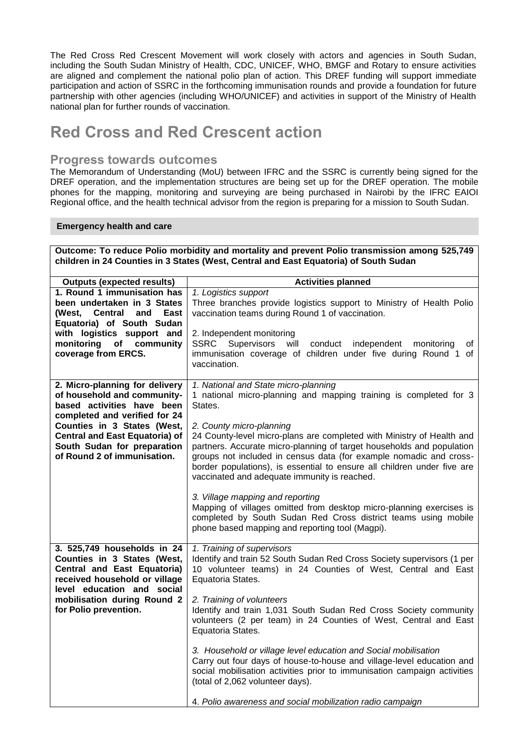The Red Cross Red Crescent Movement will work closely with actors and agencies in South Sudan, including the South Sudan Ministry of Health, CDC, UNICEF, WHO, BMGF and Rotary to ensure activities are aligned and complement the national polio plan of action. This DREF funding will support immediate participation and action of SSRC in the forthcoming immunisation rounds and provide a foundation for future partnership with other agencies (including WHO/UNICEF) and activities in support of the Ministry of Health national plan for further rounds of vaccination.

## **Red Cross and Red Crescent action**

### **Progress towards outcomes**

The Memorandum of Understanding (MoU) between IFRC and the SSRC is currently being signed for the DREF operation, and the implementation structures are being set up for the DREF operation. The mobile phones for the mapping, monitoring and surveying are being purchased in Nairobi by the IFRC EAIOI Regional office, and the health technical advisor from the region is preparing for a mission to South Sudan.

#### **Emergency health and care**

| Outcome: To reduce Polio morbidity and mortality and prevent Polio transmission among 525,749<br>children in 24 Counties in 3 States (West, Central and East Equatoria) of South Sudan                                                                             |                                                                                                                                                                                                                                                                                                                                                                                                                                                                                                                                                                                                                                                                                                                                      |  |
|--------------------------------------------------------------------------------------------------------------------------------------------------------------------------------------------------------------------------------------------------------------------|--------------------------------------------------------------------------------------------------------------------------------------------------------------------------------------------------------------------------------------------------------------------------------------------------------------------------------------------------------------------------------------------------------------------------------------------------------------------------------------------------------------------------------------------------------------------------------------------------------------------------------------------------------------------------------------------------------------------------------------|--|
| <b>Outputs (expected results)</b>                                                                                                                                                                                                                                  | <b>Activities planned</b>                                                                                                                                                                                                                                                                                                                                                                                                                                                                                                                                                                                                                                                                                                            |  |
| 1. Round 1 immunisation has<br>been undertaken in 3 States<br>(West, Central<br>East<br>and<br>Equatoria) of South Sudan<br>with logistics support and<br>monitoring<br>of community<br>coverage from ERCS.                                                        | 1. Logistics support<br>Three branches provide logistics support to Ministry of Health Polio<br>vaccination teams during Round 1 of vaccination.<br>2. Independent monitoring<br>SSRC Supervisors will conduct independent monitoring<br>0f<br>immunisation coverage of children under five during Round 1 of<br>vaccination.                                                                                                                                                                                                                                                                                                                                                                                                        |  |
| 2. Micro-planning for delivery<br>of household and community-<br>based activities have been<br>completed and verified for 24<br>Counties in 3 States (West,<br><b>Central and East Equatoria) of</b><br>South Sudan for preparation<br>of Round 2 of immunisation. | 1. National and State micro-planning<br>1 national micro-planning and mapping training is completed for 3<br>States.<br>2. County micro-planning<br>24 County-level micro-plans are completed with Ministry of Health and<br>partners. Accurate micro-planning of target households and population<br>groups not included in census data (for example nomadic and cross-<br>border populations), is essential to ensure all children under five are<br>vaccinated and adequate immunity is reached.<br>3. Village mapping and reporting<br>Mapping of villages omitted from desktop micro-planning exercises is<br>completed by South Sudan Red Cross district teams using mobile<br>phone based mapping and reporting tool (Magpi). |  |
| 3. 525,749 households in $\overline{24}$<br>Counties in 3 States (West,<br>Central and East Equatoria)<br>received household or village<br>level education and social<br>mobilisation during Round 2<br>for Polio prevention.                                      | 1. Training of supervisors<br>Identify and train 52 South Sudan Red Cross Society supervisors (1 per<br>10 volunteer teams) in 24 Counties of West, Central and East<br>Equatoria States.<br>2. Training of volunteers<br>Identify and train 1,031 South Sudan Red Cross Society community<br>volunteers (2 per team) in 24 Counties of West, Central and East<br>Equatoria States.<br>3. Household or village level education and Social mobilisation<br>Carry out four days of house-to-house and village-level education and<br>social mobilisation activities prior to immunisation campaign activities<br>(total of 2,062 volunteer days).<br>4. Polio awareness and social mobilization radio campaign                         |  |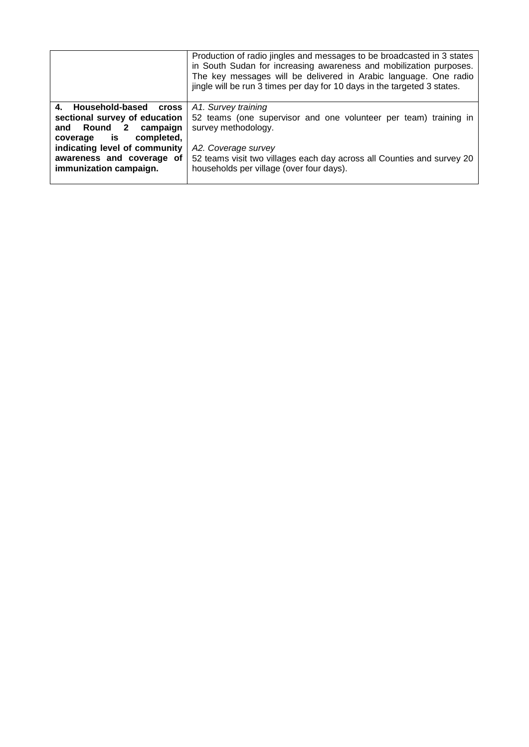|                                                                                                                                                                                                                  | Production of radio jingles and messages to be broadcasted in 3 states<br>in South Sudan for increasing awareness and mobilization purposes.<br>The key messages will be delivered in Arabic language. One radio<br>jingle will be run 3 times per day for 10 days in the targeted 3 states. |
|------------------------------------------------------------------------------------------------------------------------------------------------------------------------------------------------------------------|----------------------------------------------------------------------------------------------------------------------------------------------------------------------------------------------------------------------------------------------------------------------------------------------|
| 4. Household-based<br><b>Cross</b><br>sectional survey of education<br>and Round 2 campaign<br>coverage is<br>completed,<br>indicating level of community<br>awareness and coverage of<br>immunization campaign. | A1. Survey training<br>52 teams (one supervisor and one volunteer per team) training in<br>survey methodology.<br>A2. Coverage survey<br>52 teams visit two villages each day across all Counties and survey 20<br>households per village (over four days).                                  |